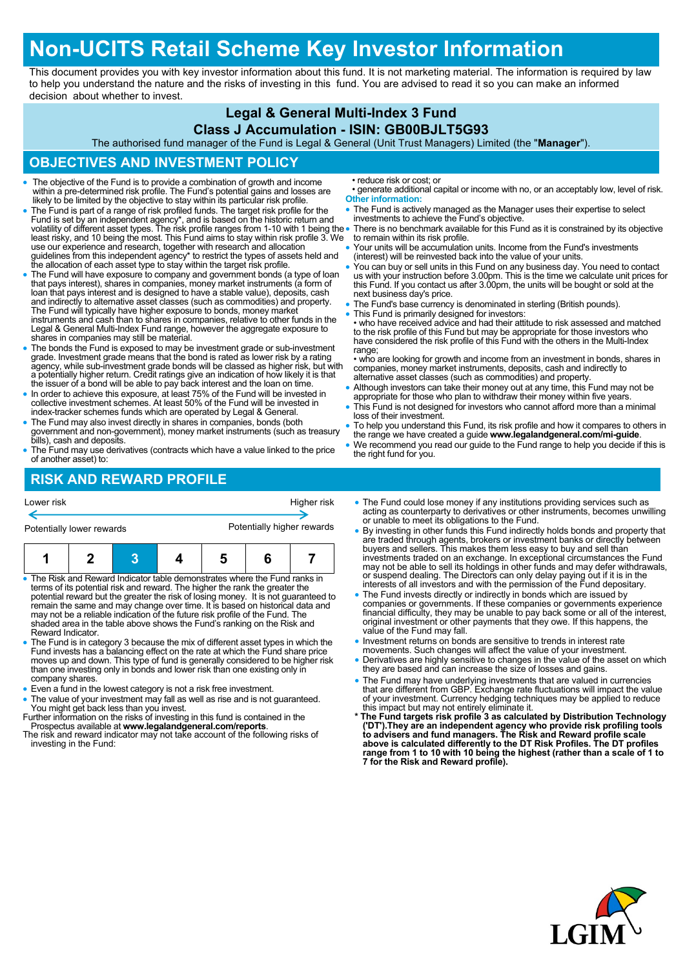# **Non-UCITS Retail Scheme Key Investor Information**

This document provides you with key investor information about this fund. It is not marketing material. The information is required by law to help you understand the nature and the risks of investing in this fund. You are advised to read it so you can make an informed decision about whether to invest.

#### **Legal & General Multi-Index 3 Fund**

#### **Class J Accumulation - ISIN: GB00BJLT5G93**

The authorised fund manager of the Fund is Legal & General (Unit Trust Managers) Limited (the "**Manager**").

## **OBJECTIVES AND INVESTMENT POLICY**

- The objective of the Fund is to provide a combination of growth and income within a pre-determined risk profile. The Fund's potential gains and losses are likely to be limited by the objective to stay within its particular risk profile.
- The Fund is part of a range of risk profiled funds. The target risk profile for the Fund is set by an independent agency\*, and is based on the historic return and<br>volatility of different asset types. The risk profile ranges from 1-10 with 1 being the<br>least risky, and 10 being the most. This Fund aims to s use our experience and research, together with research and allocation guidelines from this independent agency\* to restrict the types of assets held and the allocation of each asset type to stay within the target risk profile.
- The Fund will have exposure to company and government bonds (a type of loan that pays interest), shares in companies, money market instruments (a form of loan that pays interest and is designed to have a stable value), deposits, cash and indirectly to alternative asset classes (such as commodities) and property.<br>The Fund will typically have higher exposure to bonds, money market<br>instruments and cash than to shares in companies, relative to other funds Legal & General Multi-Index Fund range, however the aggregate exposure to shares in companies may still be material.
- The bonds the Fund is exposed to may be investment grade or sub-investment grade. Investment grade means that the bond is rated as lower risk by a rating agency, while sub-investment grade bonds will be classed as higher risk, but with a potentially higher return. Credit ratings give an indication of how likely it is that the issuer of a bond will be able to pay back interest and the loan on time.
- In order to achieve this exposure, at least 75% of the Fund will be invested in collective investment schemes. At least 50% of the Fund will be invested in index-tracker schemes funds which are operated by Legal & General.
- The Fund may also invest directly in shares in companies, bonds (both government and non-government), money market instruments (such as treasury bills), cash and deposits.
- The Fund may use derivatives (contracts which have a value linked to the price of another asset) to:

• reduce risk or cost; or

- generate additional capital or income with no, or an acceptably low, level of risk. **Other information:**
- The Fund is actively managed as the Manager uses their expertise to select investments to achieve the Fund's objective.
- There is no benchmark available for this Fund as it is constrained by its objective to remain within its risk profile.
- Your units will be accumulation units. Income from the Fund's investments (interest) will be reinvested back into the value of your units.
- You can buy or sell units in this Fund on any business day. You need to contact us with your instruction before 3.00pm. This is the time we calculate unit prices for this Fund. If you contact us after 3.00pm, the units will be bought or sold at the next business day's price.
- The Fund's base currency is denominated in sterling (British pounds).
- This Fund is primarily designed for investors:

• who have received advice and had their attitude to risk assessed and matched to the risk profile of this Fund but may be appropriate for those investors who have considered the risk profile of this Fund with the others in the Multi-Index range:

• who are looking for growth and income from an investment in bonds, shares in companies, money market instruments, deposits, cash and indirectly to alternative asset classes (such as commodities) and property.

- Although investors can take their money out at any time, this Fund may not be appropriate for those who plan to withdraw their money within five years.
- This Fund is not designed for investors who cannot afford more than a minimal loss of their investment.
- To help you understand this Fund, its risk profile and how it compares to others in the range we have created a guide **www.legalandgeneral.com/mi-guide**.
- We recommend you read our guide to the Fund range to help you decide if this is the right fund for you.

# **RISK AND REWARD PROFILE**

| Lower risk                                                                                                                                                |  |  | Higher risk                |   |  |  |  |
|-----------------------------------------------------------------------------------------------------------------------------------------------------------|--|--|----------------------------|---|--|--|--|
| Potentially lower rewards                                                                                                                                 |  |  | Potentially higher rewards |   |  |  |  |
|                                                                                                                                                           |  |  |                            | 5 |  |  |  |
| • The Risk and Reward Indicator table demonstrates where the Fund ranks in<br>terms of its potential risk and reward. The higher the rank the greater the |  |  |                            |   |  |  |  |

- potential reward but the greater the risk of losing money. It is not guaranteed to remain the same and may change over time. It is based on historical data and may not be a reliable indication of the future risk profile of the Fund. The shaded area in the table above shows the Fund's ranking on the Risk and Reward Indicator.
- The Fund is in category 3 because the mix of different asset types in which the Fund invests has a balancing effect on the rate at which the Fund share price moves up and down. This type of fund is generally considered to be higher risk than one investing only in bonds and lower risk than one existing only in company shares.
- Even a fund in the lowest category is not a risk free investment.
- The value of your investment may fall as well as rise and is not guaranteed. You might get back less than you invest.
- Further information on the risks of investing in this fund is contained in the Prospectus available at **www.legalandgeneral.com/reports**.
- The risk and reward indicator may not take account of the following risks of investing in the Fund:
- The Fund could lose money if any institutions providing services such as acting as counterparty to derivatives or other instruments, becomes unwilling or unable to meet its obligations to the Fund.
- By investing in other funds this Fund indirectly holds bonds and property that are traded through agents, brokers or investment banks or directly between buyers and sellers. This makes them less easy to buy and sell than investments traded on an exchange. In exceptional circumstances the Fund may not be able to sell its holdings in other funds and may defer withdrawals, or suspend dealing. The Directors can only delay paying out if it is in the interests of all investors and with the permission of the Fund depositary.
- The Fund invests directly or indirectly in bonds which are issued by companies or governments. If these companies or governments experience financial difficulty, they may be unable to pay back some or all of the interest, original investment or other payments that they owe. If this happens, the value of the Fund may fall.
- Investment returns on bonds are sensitive to trends in interest rate movements. Such changes will affect the value of your investment.
- Derivatives are highly sensitive to changes in the value of the asset on which they are based and can increase the size of losses and gains.
- 
- The Fund may have underlying investments that are valued in currencies<br>that are different from GBP. Exchange rate fluctuations will impact the value<br>of your investment. Currency hedging techniques may be applied to reduc